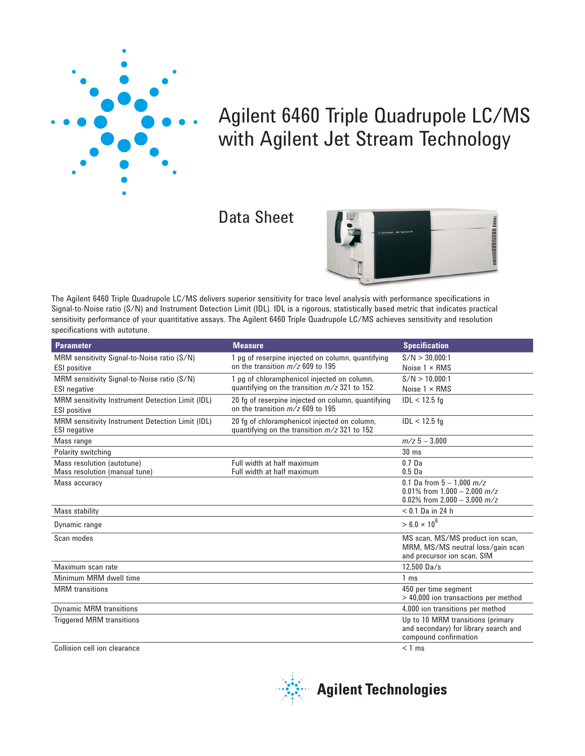

# Agilent 6460 Triple Quadrupole LC/MS with Agilent Jet Stream Technology

## Data Sheet



The Agilent 6460 Triple Quadrupole LC/MS delivers superior sensitivity for trace level analysis with performance specifications in Signal-to-Noise ratio (S/N) and Instrument Detection Limit (IDL). IDL is a rigorous, statistically based metric that indicates practical sensitivity performance of your quantitative assays. The Agilent 6460 Triple Quadrupole LC/MS achieves sensitivity and resolution specifications with autotune.

| <b>Parameter</b>                                 | <b>Measure</b>                                     | <b>Specification</b>                                             |
|--------------------------------------------------|----------------------------------------------------|------------------------------------------------------------------|
| MRM sensitivity Signal-to-Noise ratio (S/N)      | 1 pg of reserpine injected on column, quantifying  | S/N > 30.000:1                                                   |
| <b>ESI</b> positive                              | on the transition $m/z$ 609 to 195                 | Noise $1 \times RMS$                                             |
| MRM sensitivity Signal-to-Noise ratio (S/N)      | 1 pg of chloramphenicol injected on column,        | S/N > 10,000:1                                                   |
| <b>ESI</b> negative                              | quantifying on the transition $m/z$ 321 to 152     | Noise $1 \times RMS$                                             |
| MRM sensitivity Instrument Detection Limit (IDL) | 20 fg of reserpine injected on column, quantifying | $IDL < 12.5$ fa                                                  |
| <b>ESI</b> positive                              | on the transition $m/z$ 609 to 195                 |                                                                  |
| MRM sensitivity Instrument Detection Limit (IDL) | 20 fg of chloramphenicol injected on column,       | $IDL < 12.5$ fg                                                  |
| <b>ESI</b> negative                              | quantifying on the transition $m/z$ 321 to 152     |                                                                  |
| Mass range                                       |                                                    | $m/z$ 5 - 3.000                                                  |
| Polarity switching                               |                                                    | $30 \text{ ms}$                                                  |
| Mass resolution (autotune)                       | Full width at half maximum                         | 0.7 <sub>Da</sub>                                                |
| Mass resolution (manual tune)                    | Full width at half maximum                         | 0.5 <sub>Da</sub>                                                |
| Mass accuracy                                    |                                                    | 0.1 Da from $5 - 1.000$ $m/z$                                    |
|                                                  |                                                    | 0.01% from $1.000 - 2.000$ m/z<br>0.02% from 2,000 - 3,000 $m/z$ |
| Mass stability                                   |                                                    | $< 0.1$ Da in 24 h                                               |
| Dynamic range                                    |                                                    | $> 6.0 \times 10^{6}$                                            |
| Scan modes                                       |                                                    | MS scan, MS/MS product ion scan,                                 |
|                                                  |                                                    | MRM, MS/MS neutral loss/gain scan                                |
|                                                  |                                                    | and precursor ion scan, SIM                                      |
| Maximum scan rate                                |                                                    | 12.500 Da/s                                                      |
| Minimum MRM dwell time                           |                                                    | 1 <sub>ms</sub>                                                  |
| <b>MRM</b> transitions                           |                                                    | 450 per time segment<br>> 40,000 ion transactions per method     |
| <b>Dynamic MRM transitions</b>                   |                                                    | 4,000 ion transitions per method                                 |
| <b>Triggered MRM transitions</b>                 |                                                    | Up to 10 MRM transitions (primary                                |
|                                                  |                                                    | and secondary) for library search and<br>compound confirmation   |
| Collision cell ion clearance                     |                                                    | $< 1$ ms                                                         |



**Agilent Technologies**